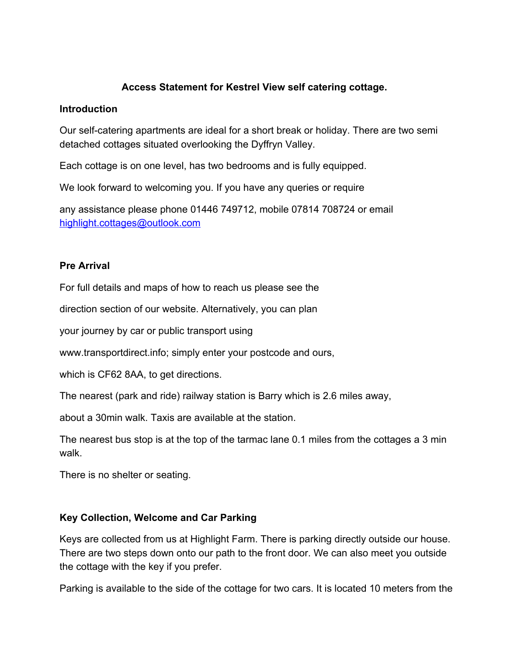# **Access Statement for Kestrel View self catering cottage.**

#### **Introduction**

Our self-catering apartments are ideal for a short break or holiday. There are two semi detached cottages situated overlooking the Dyffryn Valley.

Each cottage is on one level, has two bedrooms and is fully equipped.

We look forward to welcoming you. If you have any queries or require

any assistance please phone 01446 749712, mobile 07814 708724 or email [highlight.cottages@outlook.com](mailto:highlight.cottages@outlook.com)

### **Pre Arrival**

For full details and maps of how to reach us please see the

direction section of our website. Alternatively, you can plan

your journey by car or public transport using

www.transportdirect.info; simply enter your postcode and ours,

which is CF62 8AA, to get directions.

The nearest (park and ride) railway station is Barry which is 2.6 miles away,

about a 30min walk. Taxis are available at the station.

The nearest bus stop is at the top of the tarmac lane 0.1 miles from the cottages a 3 min walk.

There is no shelter or seating.

# **Key Collection, Welcome and Car Parking**

Keys are collected from us at Highlight Farm. There is parking directly outside our house. There are two steps down onto our path to the front door. We can also meet you outside the cottage with the key if you prefer.

Parking is available to the side of the cottage for two cars. It is located 10 meters from the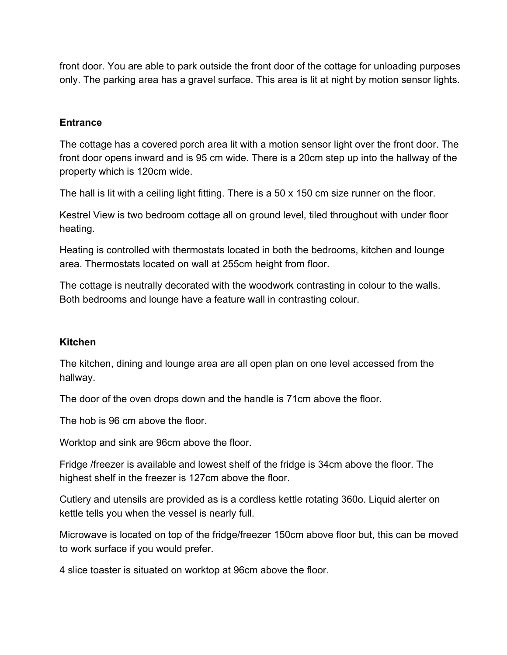front door. You are able to park outside the front door of the cottage for unloading purposes only. The parking area has a gravel surface. This area is lit at night by motion sensor lights.

## **Entrance**

The cottage has a covered porch area lit with a motion sensor light over the front door. The front door opens inward and is 95 cm wide. There is a 20cm step up into the hallway of the property which is 120cm wide.

The hall is lit with a ceiling light fitting. There is a 50 x 150 cm size runner on the floor.

Kestrel View is two bedroom cottage all on ground level, tiled throughout with under floor heating.

Heating is controlled with thermostats located in both the bedrooms, kitchen and lounge area. Thermostats located on wall at 255cm height from floor.

The cottage is neutrally decorated with the woodwork contrasting in colour to the walls. Both bedrooms and lounge have a feature wall in contrasting colour.

### **Kitchen**

The kitchen, dining and lounge area are all open plan on one level accessed from the hallway.

The door of the oven drops down and the handle is 71cm above the floor.

The hob is 96 cm above the floor.

Worktop and sink are 96cm above the floor.

Fridge /freezer is available and lowest shelf of the fridge is 34cm above the floor. The highest shelf in the freezer is 127cm above the floor.

Cutlery and utensils are provided as is a cordless kettle rotating 360o. Liquid alerter on kettle tells you when the vessel is nearly full.

Microwave is located on top of the fridge/freezer 150cm above floor but, this can be moved to work surface if you would prefer.

4 slice toaster is situated on worktop at 96cm above the floor.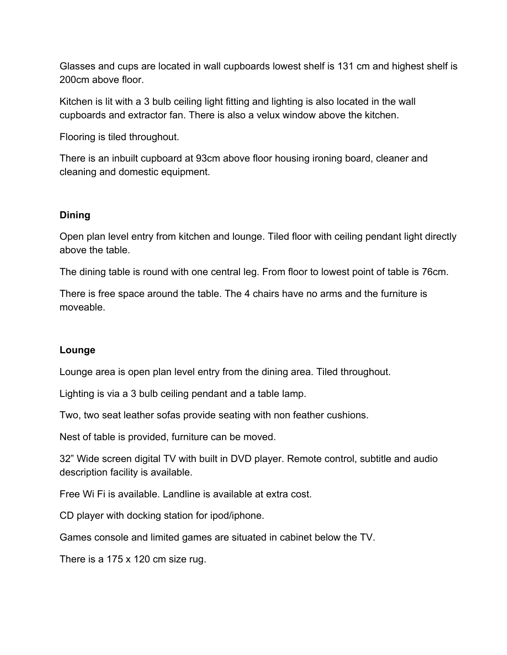Glasses and cups are located in wall cupboards lowest shelf is 131 cm and highest shelf is 200cm above floor.

Kitchen is lit with a 3 bulb ceiling light fitting and lighting is also located in the wall cupboards and extractor fan. There is also a velux window above the kitchen.

Flooring is tiled throughout.

There is an inbuilt cupboard at 93cm above floor housing ironing board, cleaner and cleaning and domestic equipment.

### **Dining**

Open plan level entry from kitchen and lounge. Tiled floor with ceiling pendant light directly above the table.

The dining table is round with one central leg. From floor to lowest point of table is 76cm.

There is free space around the table. The 4 chairs have no arms and the furniture is moveable.

# **Lounge**

Lounge area is open plan level entry from the dining area. Tiled throughout.

Lighting is via a 3 bulb ceiling pendant and a table lamp.

Two, two seat leather sofas provide seating with non feather cushions.

Nest of table is provided, furniture can be moved.

32" Wide screen digital TV with built in DVD player. Remote control, subtitle and audio description facility is available.

Free Wi Fi is available. Landline is available at extra cost.

CD player with docking station for ipod/iphone.

Games console and limited games are situated in cabinet below the TV.

There is a 175 x 120 cm size rug.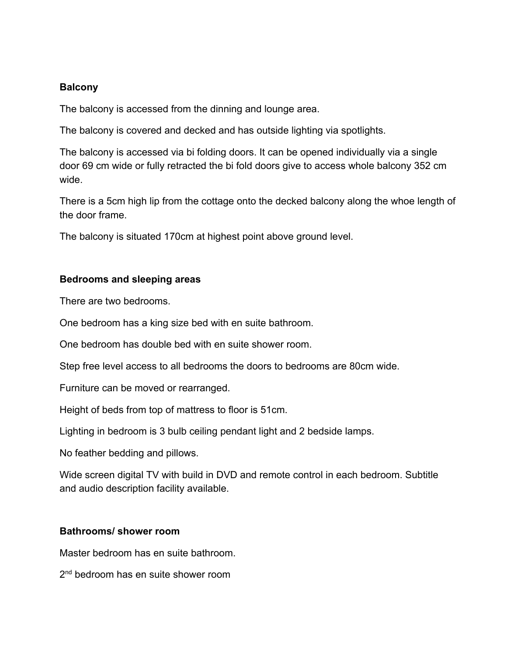### **Balcony**

The balcony is accessed from the dinning and lounge area.

The balcony is covered and decked and has outside lighting via spotlights.

The balcony is accessed via bi folding doors. It can be opened individually via a single door 69 cm wide or fully retracted the bi fold doors give to access whole balcony 352 cm wide.

There is a 5cm high lip from the cottage onto the decked balcony along the whoe length of the door frame.

The balcony is situated 170cm at highest point above ground level.

### **Bedrooms and sleeping areas**

There are two bedrooms.

One bedroom has a king size bed with en suite bathroom.

One bedroom has double bed with en suite shower room.

Step free level access to all bedrooms the doors to bedrooms are 80cm wide.

Furniture can be moved or rearranged.

Height of beds from top of mattress to floor is 51cm.

Lighting in bedroom is 3 bulb ceiling pendant light and 2 bedside lamps.

No feather bedding and pillows.

Wide screen digital TV with build in DVD and remote control in each bedroom. Subtitle and audio description facility available.

### **Bathrooms/ shower room**

Master bedroom has en suite bathroom.

2<sup>nd</sup> bedroom has en suite shower room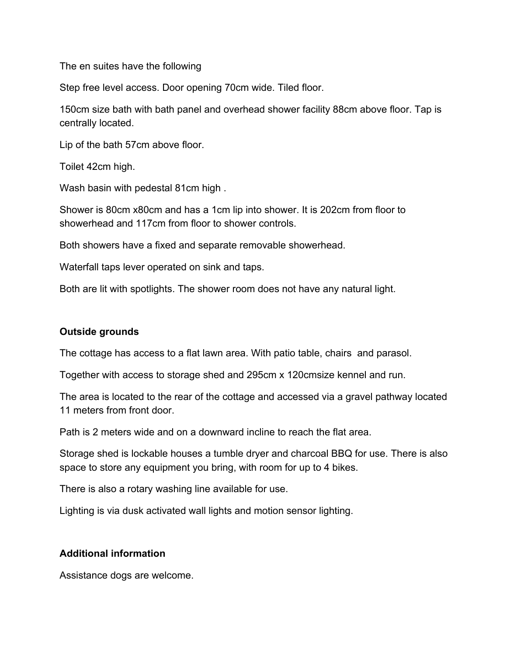The en suites have the following

Step free level access. Door opening 70cm wide. Tiled floor.

150cm size bath with bath panel and overhead shower facility 88cm above floor. Tap is centrally located.

Lip of the bath 57cm above floor.

Toilet 42cm high.

Wash basin with pedestal 81cm high .

Shower is 80cm x80cm and has a 1cm lip into shower. It is 202cm from floor to showerhead and 117cm from floor to shower controls.

Both showers have a fixed and separate removable showerhead.

Waterfall taps lever operated on sink and taps.

Both are lit with spotlights. The shower room does not have any natural light.

### **Outside grounds**

The cottage has access to a flat lawn area. With patio table, chairs and parasol.

Together with access to storage shed and 295cm x 120cmsize kennel and run.

The area is located to the rear of the cottage and accessed via a gravel pathway located 11 meters from front door.

Path is 2 meters wide and on a downward incline to reach the flat area.

Storage shed is lockable houses a tumble dryer and charcoal BBQ for use. There is also space to store any equipment you bring, with room for up to 4 bikes.

There is also a rotary washing line available for use.

Lighting is via dusk activated wall lights and motion sensor lighting.

### **Additional information**

Assistance dogs are welcome.